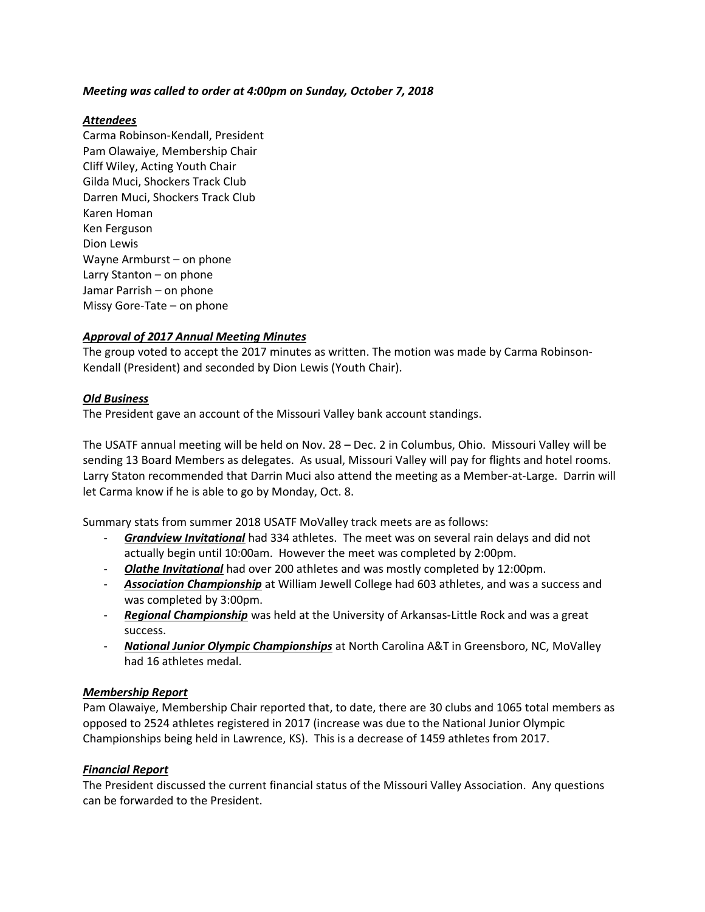# *Meeting was called to order at 4:00pm on Sunday, October 7, 2018*

## *Attendees*

Carma Robinson-Kendall, President Pam Olawaiye, Membership Chair Cliff Wiley, Acting Youth Chair Gilda Muci, Shockers Track Club Darren Muci, Shockers Track Club Karen Homan Ken Ferguson Dion Lewis Wayne Armburst – on phone Larry Stanton – on phone Jamar Parrish – on phone Missy Gore-Tate – on phone

# *Approval of 2017 Annual Meeting Minutes*

The group voted to accept the 2017 minutes as written. The motion was made by Carma Robinson-Kendall (President) and seconded by Dion Lewis (Youth Chair).

# *Old Business*

The President gave an account of the Missouri Valley bank account standings.

The USATF annual meeting will be held on Nov. 28 – Dec. 2 in Columbus, Ohio. Missouri Valley will be sending 13 Board Members as delegates. As usual, Missouri Valley will pay for flights and hotel rooms. Larry Staton recommended that Darrin Muci also attend the meeting as a Member-at-Large. Darrin will let Carma know if he is able to go by Monday, Oct. 8.

Summary stats from summer 2018 USATF MoValley track meets are as follows:

- *Grandview Invitational* had 334 athletes. The meet was on several rain delays and did not actually begin until 10:00am. However the meet was completed by 2:00pm.
- *Olathe Invitational* had over 200 athletes and was mostly completed by 12:00pm.
- *Association Championship* at William Jewell College had 603 athletes, and was a success and was completed by 3:00pm.
- *Regional Championship* was held at the University of Arkansas-Little Rock and was a great success.
- *National Junior Olympic Championships* at North Carolina A&T in Greensboro, NC, MoValley had 16 athletes medal.

# *Membership Report*

Pam Olawaiye, Membership Chair reported that, to date, there are 30 clubs and 1065 total members as opposed to 2524 athletes registered in 2017 (increase was due to the National Junior Olympic Championships being held in Lawrence, KS). This is a decrease of 1459 athletes from 2017.

# *Financial Report*

The President discussed the current financial status of the Missouri Valley Association. Any questions can be forwarded to the President.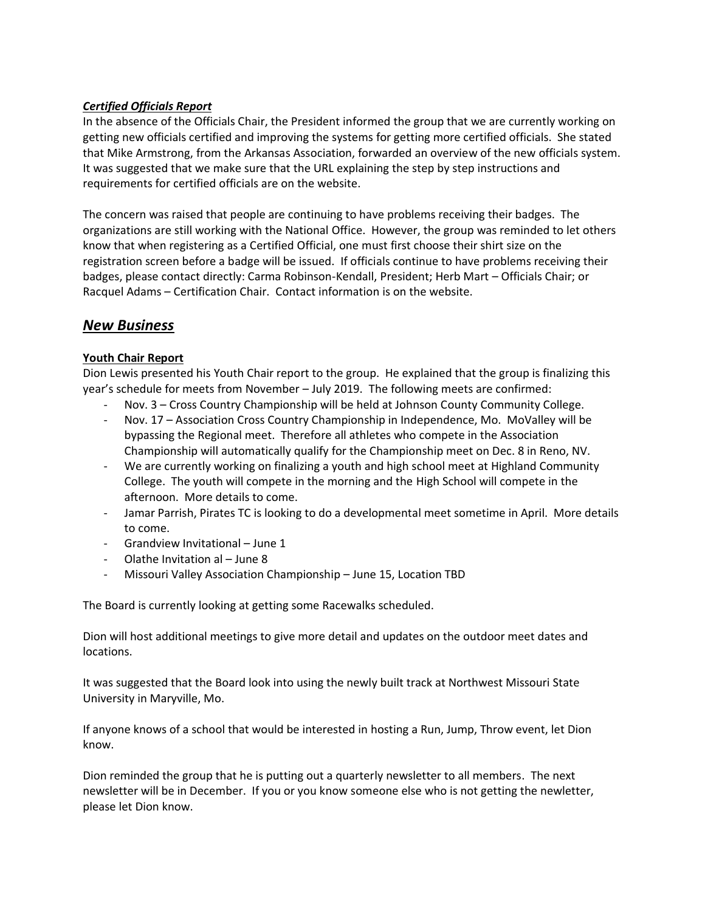# *Certified Officials Report*

In the absence of the Officials Chair, the President informed the group that we are currently working on getting new officials certified and improving the systems for getting more certified officials. She stated that Mike Armstrong, from the Arkansas Association, forwarded an overview of the new officials system. It was suggested that we make sure that the URL explaining the step by step instructions and requirements for certified officials are on the website.

The concern was raised that people are continuing to have problems receiving their badges. The organizations are still working with the National Office. However, the group was reminded to let others know that when registering as a Certified Official, one must first choose their shirt size on the registration screen before a badge will be issued. If officials continue to have problems receiving their badges, please contact directly: Carma Robinson-Kendall, President; Herb Mart – Officials Chair; or Racquel Adams – Certification Chair. Contact information is on the website.

# *New Business*

# **Youth Chair Report**

Dion Lewis presented his Youth Chair report to the group. He explained that the group is finalizing this year's schedule for meets from November – July 2019. The following meets are confirmed:

- Nov. 3 Cross Country Championship will be held at Johnson County Community College.
- Nov. 17 Association Cross Country Championship in Independence, Mo. MoValley will be bypassing the Regional meet. Therefore all athletes who compete in the Association Championship will automatically qualify for the Championship meet on Dec. 8 in Reno, NV.
- We are currently working on finalizing a youth and high school meet at Highland Community College. The youth will compete in the morning and the High School will compete in the afternoon. More details to come.
- Jamar Parrish, Pirates TC is looking to do a developmental meet sometime in April. More details to come.
- Grandview Invitational June 1
- Olathe Invitation al June 8
- Missouri Valley Association Championship June 15, Location TBD

The Board is currently looking at getting some Racewalks scheduled.

Dion will host additional meetings to give more detail and updates on the outdoor meet dates and locations.

It was suggested that the Board look into using the newly built track at Northwest Missouri State University in Maryville, Mo.

If anyone knows of a school that would be interested in hosting a Run, Jump, Throw event, let Dion know.

Dion reminded the group that he is putting out a quarterly newsletter to all members. The next newsletter will be in December. If you or you know someone else who is not getting the newletter, please let Dion know.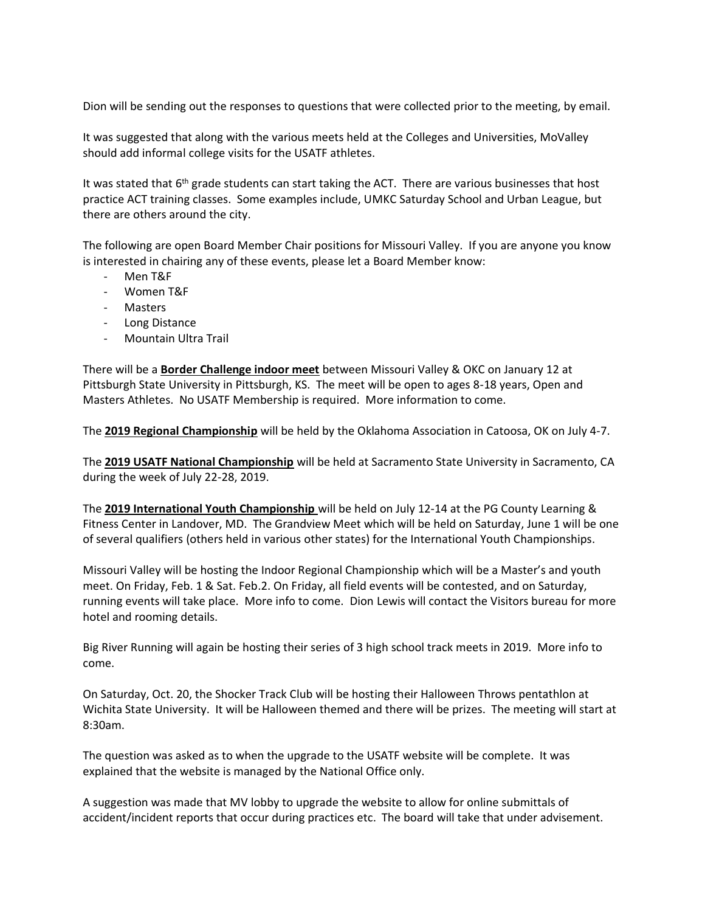Dion will be sending out the responses to questions that were collected prior to the meeting, by email.

It was suggested that along with the various meets held at the Colleges and Universities, MoValley should add informal college visits for the USATF athletes.

It was stated that  $6<sup>th</sup>$  grade students can start taking the ACT. There are various businesses that host practice ACT training classes. Some examples include, UMKC Saturday School and Urban League, but there are others around the city.

The following are open Board Member Chair positions for Missouri Valley. If you are anyone you know is interested in chairing any of these events, please let a Board Member know:

- Men T&F
- Women T&F
- Masters
- Long Distance
- Mountain Ultra Trail

There will be a **Border Challenge indoor meet** between Missouri Valley & OKC on January 12 at Pittsburgh State University in Pittsburgh, KS. The meet will be open to ages 8-18 years, Open and Masters Athletes. No USATF Membership is required. More information to come.

The **2019 Regional Championship** will be held by the Oklahoma Association in Catoosa, OK on July 4-7.

The **2019 USATF National Championship** will be held at Sacramento State University in Sacramento, CA during the week of July 22-28, 2019.

The **2019 International Youth Championship** will be held on July 12-14 at the PG County Learning & Fitness Center in Landover, MD. The Grandview Meet which will be held on Saturday, June 1 will be one of several qualifiers (others held in various other states) for the International Youth Championships.

Missouri Valley will be hosting the Indoor Regional Championship which will be a Master's and youth meet. On Friday, Feb. 1 & Sat. Feb.2. On Friday, all field events will be contested, and on Saturday, running events will take place. More info to come. Dion Lewis will contact the Visitors bureau for more hotel and rooming details.

Big River Running will again be hosting their series of 3 high school track meets in 2019. More info to come.

On Saturday, Oct. 20, the Shocker Track Club will be hosting their Halloween Throws pentathlon at Wichita State University. It will be Halloween themed and there will be prizes. The meeting will start at 8:30am.

The question was asked as to when the upgrade to the USATF website will be complete. It was explained that the website is managed by the National Office only.

A suggestion was made that MV lobby to upgrade the website to allow for online submittals of accident/incident reports that occur during practices etc. The board will take that under advisement.